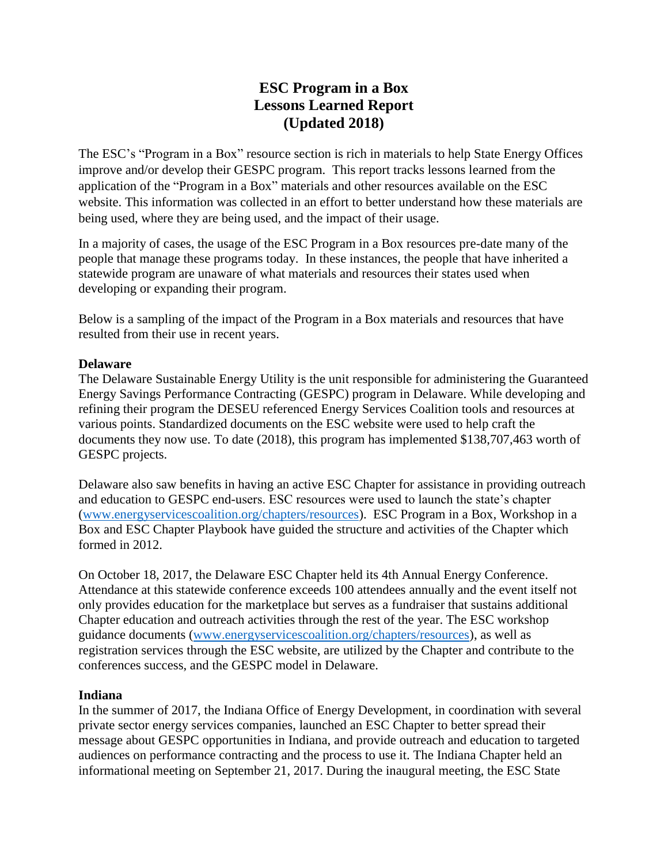# **ESC Program in a Box Lessons Learned Report (Updated 2018)**

The ESC's "Program in a Box" resource section is rich in materials to help State Energy Offices improve and/or develop their GESPC program. This report tracks lessons learned from the application of the "Program in a Box" materials and other resources available on the ESC website. This information was collected in an effort to better understand how these materials are being used, where they are being used, and the impact of their usage.

In a majority of cases, the usage of the ESC Program in a Box resources pre-date many of the people that manage these programs today. In these instances, the people that have inherited a statewide program are unaware of what materials and resources their states used when developing or expanding their program.

Below is a sampling of the impact of the Program in a Box materials and resources that have resulted from their use in recent years.

## **Delaware**

The Delaware Sustainable Energy Utility is the unit responsible for administering the Guaranteed Energy Savings Performance Contracting (GESPC) program in Delaware. While developing and refining their program the DESEU referenced Energy Services Coalition tools and resources at various points. Standardized documents on the ESC website were used to help craft the documents they now use. To date (2018), this program has implemented \$138,707,463 worth of GESPC projects.

Delaware also saw benefits in having an active ESC Chapter for assistance in providing outreach and education to GESPC end-users. ESC resources were used to launch the state's chapter [\(www.energyservicescoalition.org/chapters/resources\)](http://www.energyservicescoalition.org/chapters/resources). ESC Program in a Box, Workshop in a Box and ESC Chapter Playbook have guided the structure and activities of the Chapter which formed in 2012.

On October 18, 2017, the Delaware ESC Chapter held its 4th Annual Energy Conference. Attendance at this statewide conference exceeds 100 attendees annually and the event itself not only provides education for the marketplace but serves as a fundraiser that sustains additional Chapter education and outreach activities through the rest of the year. The ESC workshop guidance documents [\(www.energyservicescoalition.org/chapters/resources\)](http://www.energyservicescoalition.org/chapters/resources), as well as registration services through the ESC website, are utilized by the Chapter and contribute to the conferences success, and the GESPC model in Delaware.

# **Indiana**

In the summer of 2017, the Indiana Office of Energy Development, in coordination with several private sector energy services companies, launched an ESC Chapter to better spread their message about GESPC opportunities in Indiana, and provide outreach and education to targeted audiences on performance contracting and the process to use it. The Indiana Chapter held an informational meeting on September 21, 2017. During the inaugural meeting, the ESC State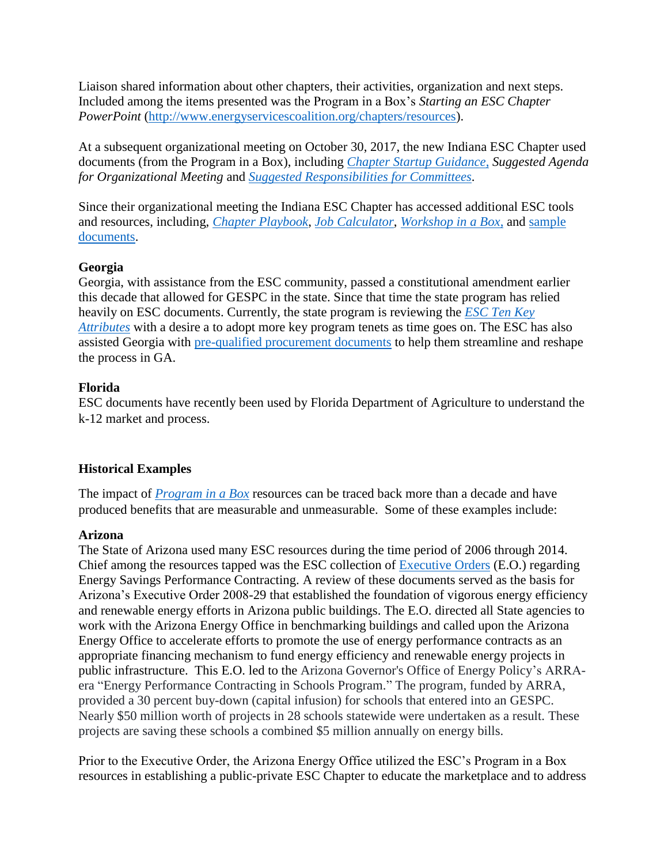Liaison shared information about other chapters, their activities, organization and next steps. Included among the items presented was the Program in a Box's *Starting an ESC Chapter PowerPoint* [\(http://www.energyservicescoalition.org/chapters/resources\)](http://www.energyservicescoalition.org/chapters/resources).

At a subsequent organizational meeting on October 30, 2017, the new Indiana ESC Chapter used documents (from the Program in a Box), including *[Chapter Startup Guidance](https://energyservicescoalition.org/chapters/resources)*, *Suggested Agenda for Organizational Meeting* and *[Suggested Responsibilities](•Suggested%20Responsibilities%20for%20ESC%20State%20Chapter%20Committees) for Committees*.

Since their organizational meeting the Indiana ESC Chapter has accessed additional ESC tools and resources, including, *[Chapter Playbook](http://energyservicescoalition.org/Data/Sites/1/documents/resources/esc-chapter-playbook-v2.pdf)*, *[Job Calculator](http://energyservicescoalition.org/Data/Sites/1/documents/resources/esc-jobs-report-template-2017-v1.xlsx)*, *[Workshop in a Box](https://energyservicescoalition.org/workshop-in-a-box)*, and [sample](https://energyservicescoalition.org/resources/model-documents)  [documents.](https://energyservicescoalition.org/resources/model-documents)

#### **Georgia**

Georgia, with assistance from the ESC community, passed a constitutional amendment earlier this decade that allowed for GESPC in the state. Since that time the state program has relied heavily on ESC documents. Currently, the state program is reviewing the *[ESC Ten Key](https://energyservicescoalition.org/10-key-attributes)  [Attributes](https://energyservicescoalition.org/10-key-attributes)* with a desire a to adopt more key program tenets as time goes on. The ESC has also assisted Georgia with [pre-qualified procurement documents](https://energyservicescoalition.org/resources/model-documents) to help them streamline and reshape the process in GA.

## **Florida**

ESC documents have recently been used by Florida Department of Agriculture to understand the k-12 market and process.

# **Historical Examples**

The impact of *[Program in a Box](https://energyservicescoalition.org/design-a-gespc-program)* resources can be traced back more than a decade and have produced benefits that are measurable and unmeasurable. Some of these examples include:

# **Arizona**

The State of Arizona used many ESC resources during the time period of 2006 through 2014. Chief among the resources tapped was the ESC collection of [Executive Orders](http://energyservicescoalition.org/attributes/gubernatorial-support) (E.O.) regarding Energy Savings Performance Contracting. A review of these documents served as the basis for Arizona's Executive Order 2008-29 that established the foundation of vigorous energy efficiency and renewable energy efforts in Arizona public buildings. The E.O. directed all State agencies to work with the Arizona Energy Office in benchmarking buildings and called upon the Arizona Energy Office to accelerate efforts to promote the use of energy performance contracts as an appropriate financing mechanism to fund energy efficiency and renewable energy projects in public infrastructure. This E.O. led to the Arizona Governor's Office of Energy Policy's ARRAera "Energy Performance Contracting in Schools Program." The program, funded by ARRA, provided a 30 percent buy-down (capital infusion) for schools that entered into an GESPC. Nearly \$50 million worth of projects in 28 schools statewide were undertaken as a result. These projects are saving these schools a combined \$5 million annually on energy bills.

Prior to the Executive Order, the Arizona Energy Office utilized the ESC's Program in a Box resources in establishing a public-private ESC Chapter to educate the marketplace and to address